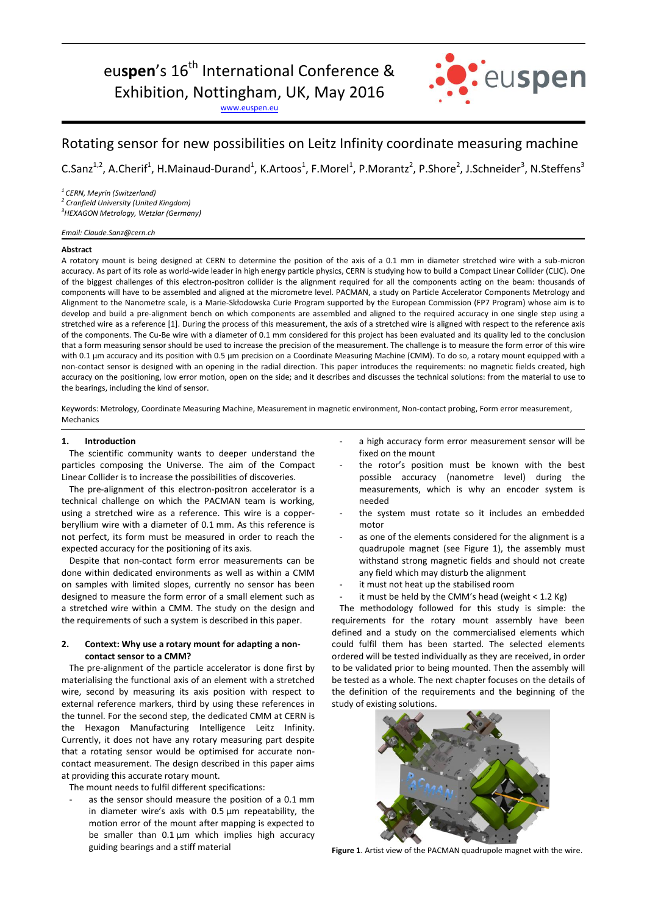# eu**spen**'s 16<sup>th</sup> International Conference &

Exhibition, Nottingham, UK, May 2016

[www.euspen.eu](http://www.euspen.eu/)



# Rotating sensor for new possibilities on Leitz Infinity coordinate measuring machine

C.Sanz<sup>1,2</sup>, A.Cherif<sup>1</sup>, H.Mainaud-Durand<sup>1</sup>, K.Artoos<sup>1</sup>, F.Morel<sup>1</sup>, P.Morantz<sup>2</sup>, P.Shore<sup>2</sup>, J.Schneider<sup>3</sup>, N.Steffens<sup>3</sup>

*<sup>1</sup>CERN, Meyrin (Switzerland)*

*2 Cranfield University (United Kingdom)*

*<sup>3</sup>HEXAGON Metrology, Wetzlar (Germany)*

#### *Email: Claude.Sanz@cern.ch*

### **Abstract**

A rotatory mount is being designed at CERN to determine the position of the axis of a 0.1 mm in diameter stretched wire with a sub-micron accuracy. As part of its role as world-wide leader in high energy particle physics, CERN is studying how to build a Compact Linear Collider (CLIC). One of the biggest challenges of this electron-positron collider is the alignment required for all the components acting on the beam: thousands of components will have to be assembled and aligned at the micrometre level. PACMAN, a study on Particle Accelerator Components Metrology and Alignment to the Nanometre scale, is a Marie-Skłodowska Curie Program supported by the European Commission (FP7 Program) whose aim is to develop and build a pre-alignment bench on which components are assembled and aligned to the required accuracy in one single step using a stretched wire as a reference [1]. During the process of this measurement, the axis of a stretched wire is aligned with respect to the reference axis of the components. The Cu-Be wire with a diameter of 0.1 mm considered for this project has been evaluated and its quality led to the conclusion that a form measuring sensor should be used to increase the precision of the measurement. The challenge is to measure the form error of this wire with 0.1 µm accuracy and its position with 0.5 µm precision on a Coordinate Measuring Machine (CMM). To do so, a rotary mount equipped with a non-contact sensor is designed with an opening in the radial direction. This paper introduces the requirements: no magnetic fields created, high accuracy on the positioning, low error motion, open on the side; and it describes and discusses the technical solutions: from the material to use to the bearings, including the kind of sensor.

Keywords: Metrology, Coordinate Measuring Machine, Measurement in magnetic environment, Non-contact probing, Form error measurement, Mechanics

## **1. Introduction**

The scientific community wants to deeper understand the particles composing the Universe. The aim of the Compact Linear Collider is to increase the possibilities of discoveries.

The pre-alignment of this electron-positron accelerator is a technical challenge on which the PACMAN team is working, using a stretched wire as a reference. This wire is a copperberyllium wire with a diameter of 0.1 mm. As this reference is not perfect, its form must be measured in order to reach the expected accuracy for the positioning of its axis.

Despite that non-contact form error measurements can be done within dedicated environments as well as within a CMM on samples with limited slopes, currently no sensor has been designed to measure the form error of a small element such as a stretched wire within a CMM. The study on the design and the requirements of such a system is described in this paper.

# **2. Context: Why use a rotary mount for adapting a noncontact sensor to a CMM?**

The pre-alignment of the particle accelerator is done first by materialising the functional axis of an element with a stretched wire, second by measuring its axis position with respect to external reference markers, third by using these references in the tunnel. For the second step, the dedicated CMM at CERN is the Hexagon Manufacturing Intelligence Leitz Infinity. Currently, it does not have any rotary measuring part despite that a rotating sensor would be optimised for accurate noncontact measurement. The design described in this paper aims at providing this accurate rotary mount.

The mount needs to fulfil different specifications:

as the sensor should measure the position of a 0.1 mm in diameter wire's axis with 0.5 µm repeatability, the motion error of the mount after mapping is expected to be smaller than  $0.1 \,\mu m$  which implies high accuracy guiding bearings and a stiff material

- a high accuracy form error measurement sensor will be fixed on the mount
- the rotor's position must be known with the best possible accuracy (nanometre level) during the measurements, which is why an encoder system is needed
- the system must rotate so it includes an embedded motor
- as one of the elements considered for the alignment is a quadrupole magnet (see Figure 1), the assembly must withstand strong magnetic fields and should not create any field which may disturb the alignment
- it must not heat up the stabilised room
- it must be held by the CMM's head (weight < 1.2 Kg)

The methodology followed for this study is simple: the requirements for the rotary mount assembly have been defined and a study on the commercialised elements which could fulfil them has been started. The selected elements ordered will be tested individually as they are received, in order to be validated prior to being mounted. Then the assembly will be tested as a whole. The next chapter focuses on the details of the definition of the requirements and the beginning of the study of existing solutions.



**Figure 1**. Artist view of the PACMAN quadrupole magnet with the wire.